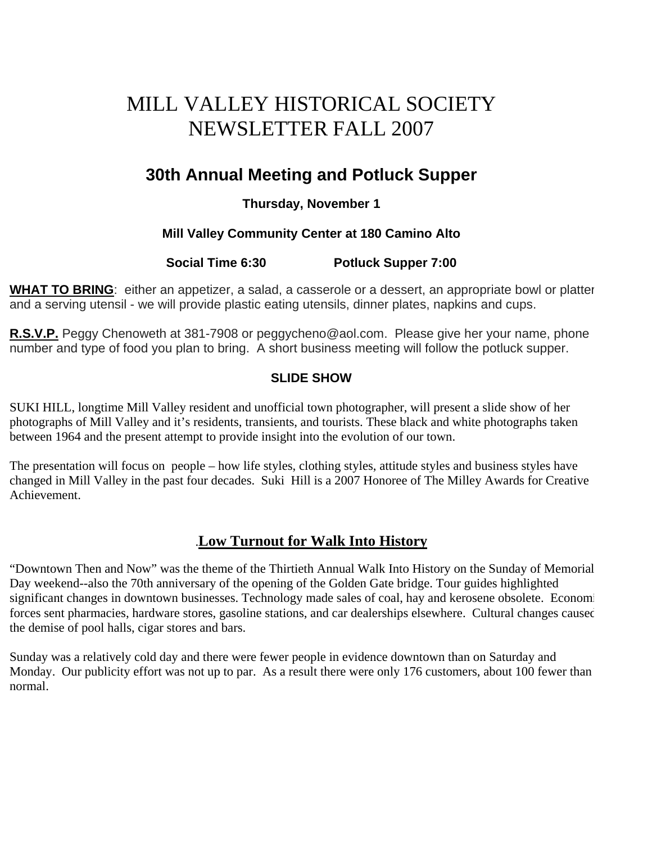# MILL VALLEY HISTORICAL SOCIETY NEWSLETTER FALL 2007

# **30th Annual Meeting and Potluck Supper**

## **Thursday, November 1**

### **Mill Valley Community Center at 180 Camino Alto**

### **Social Time 6:30 Potluck Supper 7:00**

**WHAT TO BRING**: either an appetizer, a salad, a casserole or a dessert, an appropriate bowl or platter and a serving utensil - we will provide plastic eating utensils, dinner plates, napkins and cups.

**R.S.V.P.** Peggy Chenoweth at 381-7908 or peggycheno@aol.com. Please give her your name, phone number and type of food you plan to bring. A short business meeting will follow the potluck supper.

#### **SLIDE SHOW**

SUKI HILL, longtime Mill Valley resident and unofficial town photographer, will present a slide show of her photographs of Mill Valley and it's residents, transients, and tourists. These black and white photographs taken between 1964 and the present attempt to provide insight into the evolution of our town.

The presentation will focus on people – how life styles, clothing styles, attitude styles and business styles have changed in Mill Valley in the past four decades. Suki Hill is a 2007 Honoree of The Milley Awards for Creative Achievement.

# .**Low Turnout for Walk Into History**

"Downtown Then and Now" was the theme of the Thirtieth Annual Walk Into History on the Sunday of Memorial Day weekend--also the 70th anniversary of the opening of the Golden Gate bridge. Tour guides highlighted significant changes in downtown businesses. Technology made sales of coal, hay and kerosene obsolete. Economi forces sent pharmacies, hardware stores, gasoline stations, and car dealerships elsewhere. Cultural changes caused the demise of pool halls, cigar stores and bars.

Sunday was a relatively cold day and there were fewer people in evidence downtown than on Saturday and Monday. Our publicity effort was not up to par. As a result there were only 176 customers, about 100 fewer than normal.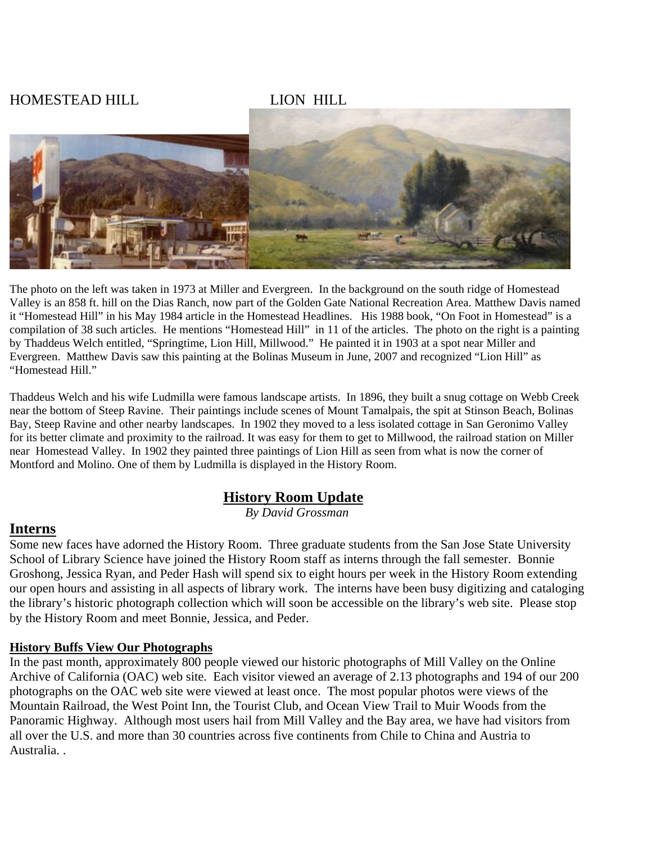# HOMESTEAD HILL LION HILL



The photo on the left was taken in 1973 at Miller and Evergreen. In the background on the south ridge of Homestead Valley is an 858 ft. hill on the Dias Ranch, now part of the Golden Gate National Recreation Area. Matthew Davis named it "Homestead Hill" in his May 1984 article in the Homestead Headlines. His 1988 book, "On Foot in Homestead" is a compilation of 38 such articles. He mentions "Homestead Hill" in 11 of the articles. The photo on the right is a painting by Thaddeus Welch entitled, "Springtime, Lion Hill, Millwood." He painted it in 1903 at a spot near Miller and Evergreen. Matthew Davis saw this painting at the Bolinas Museum in June, 2007 and recognized "Lion Hill" as "Homestead Hill."

Thaddeus Welch and his wife Ludmilla were famous landscape artists. In 1896, they built a snug cottage on Webb Creek near the bottom of Steep Ravine. Their paintings include scenes of Mount Tamalpais, the spit at Stinson Beach, Bolinas Bay, Steep Ravine and other nearby landscapes. In 1902 they moved to a less isolated cottage in San Geronimo Valley for its better climate and proximity to the railroad. It was easy for them to get to Millwood, the railroad station on Miller near Homestead Valley. In 1902 they painted three paintings of Lion Hill as seen from what is now the corner of Montford and Molino. One of them by Ludmilla is displayed in the History Room.

## **History Room Update**

*By David Grossman*

#### **Interns**

Some new faces have adorned the History Room. Three graduate students from the San Jose State University School of Library Science have joined the History Room staff as interns through the fall semester. Bonnie Groshong, Jessica Ryan, and Peder Hash will spend six to eight hours per week in the History Room extending our open hours and assisting in all aspects of library work. The interns have been busy digitizing and cataloging the library's historic photograph collection which will soon be accessible on the library's web site. Please stop by the History Room and meet Bonnie, Jessica, and Peder.

#### **History Buffs View Our Photographs**

In the past month, approximately 800 people viewed our historic photographs of Mill Valley on the Online Archive of California (OAC) web site. Each visitor viewed an average of 2.13 photographs and 194 of our 200 photographs on the OAC web site were viewed at least once. The most popular photos were views of the Mountain Railroad, the West Point Inn, the Tourist Club, and Ocean View Trail to Muir Woods from the Panoramic Highway. Although most users hail from Mill Valley and the Bay area, we have had visitors from all over the U.S. and more than 30 countries across five continents from Chile to China and Austria to Australia. .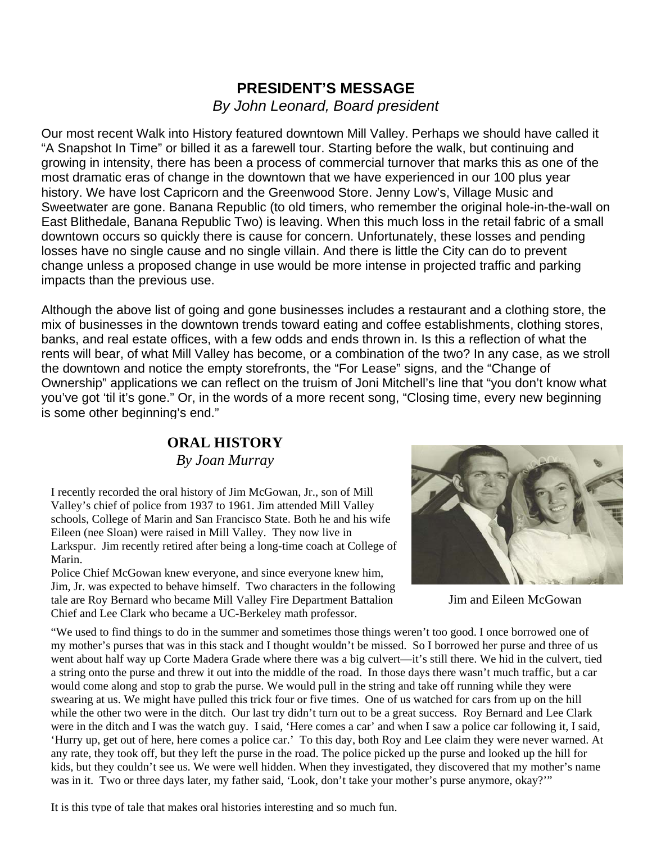# **PRESIDENT'S MESSAGE**  *By John Leonard, Board president*

Our most recent Walk into History featured downtown Mill Valley. Perhaps we should have called it "A Snapshot In Time" or billed it as a farewell tour. Starting before the walk, but continuing and growing in intensity, there has been a process of commercial turnover that marks this as one of the most dramatic eras of change in the downtown that we have experienced in our 100 plus year history. We have lost Capricorn and the Greenwood Store. Jenny Low's, Village Music and Sweetwater are gone. Banana Republic (to old timers, who remember the original hole-in-the-wall on East Blithedale, Banana Republic Two) is leaving. When this much loss in the retail fabric of a small downtown occurs so quickly there is cause for concern. Unfortunately, these losses and pending losses have no single cause and no single villain. And there is little the City can do to prevent change unless a proposed change in use would be more intense in projected traffic and parking impacts than the previous use.

Although the above list of going and gone businesses includes a restaurant and a clothing store, the mix of businesses in the downtown trends toward eating and coffee establishments, clothing stores, banks, and real estate offices, with a few odds and ends thrown in. Is this a reflection of what the rents will bear, of what Mill Valley has become, or a combination of the two? In any case, as we stroll the downtown and notice the empty storefronts, the "For Lease" signs, and the "Change of Ownership" applications we can reflect on the truism of Joni Mitchell's line that "you don't know what you've got 'til it's gone." Or, in the words of a more recent song, "Closing time, every new beginning is some other beginning's end."

# **ORAL HISTORY**

*By Joan Murray* 

I recently recorded the oral history of Jim McGowan, Jr., son of Mill Valley's chief of police from 1937 to 1961. Jim attended Mill Valley schools, College of Marin and San Francisco State. Both he and his wife Eileen (nee Sloan) were raised in Mill Valley. They now live in Larkspur. Jim recently retired after being a long-time coach at College of Marin.

Police Chief McGowan knew everyone, and since everyone knew him, Jim, Jr. was expected to behave himself. Two characters in the following tale are Roy Bernard who became Mill Valley Fire Department Battalion Chief and Lee Clark who became a UC-Berkeley math professor.



Jim and Eileen McGowan

"We used to find things to do in the summer and sometimes those things weren't too good. I once borrowed one of my mother's purses that was in this stack and I thought wouldn't be missed. So I borrowed her purse and three of us went about half way up Corte Madera Grade where there was a big culvert—it's still there. We hid in the culvert, tied a string onto the purse and threw it out into the middle of the road. In those days there wasn't much traffic, but a car would come along and stop to grab the purse. We would pull in the string and take off running while they were swearing at us. We might have pulled this trick four or five times. One of us watched for cars from up on the hill while the other two were in the ditch. Our last try didn't turn out to be a great success. Roy Bernard and Lee Clark were in the ditch and I was the watch guy. I said, 'Here comes a car' and when I saw a police car following it, I said, 'Hurry up, get out of here, here comes a police car.' To this day, both Roy and Lee claim they were never warned. At any rate, they took off, but they left the purse in the road. The police picked up the purse and looked up the hill for kids, but they couldn't see us. We were well hidden. When they investigated, they discovered that my mother's name was in it. Two or three days later, my father said, 'Look, don't take your mother's purse anymore, okay?'"

It is this type of tale that makes oral histories interesting and so much fun.